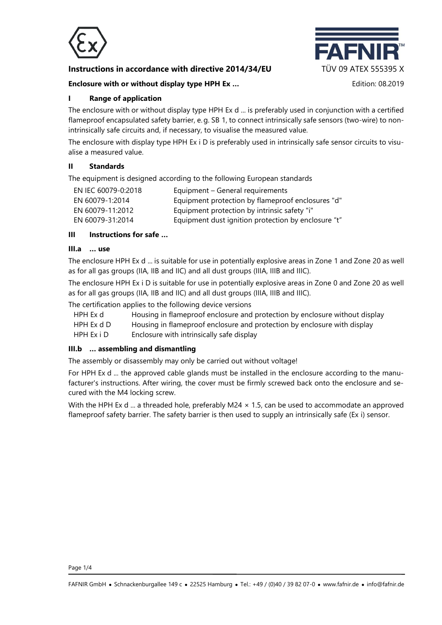

# **Instructions in accordance with directive 2014/34/EU TÜV 09 ATEX 555395 X**

**Enclosure with or without display type HPH Ex …** Edition: 08.2019



### **I Range of application**

The enclosure with or without display type HPH Ex d ... is preferably used in conjunction with a certified flameproof encapsulated safety barrier, e. g. SB 1, to connect intrinsically safe sensors (two-wire) to nonintrinsically safe circuits and, if necessary, to visualise the measured value.

The enclosure with display type HPH Ex i D is preferably used in intrinsically safe sensor circuits to visualise a measured value.

### **II Standards**

The equipment is designed according to the following European standards

| EN IEC 60079-0:2018 | Equipment – General requirements                    |
|---------------------|-----------------------------------------------------|
| EN 60079-1:2014     | Equipment protection by flameproof enclosures "d"   |
| EN 60079-11:2012    | Equipment protection by intrinsic safety "i"        |
| EN 60079-31:2014    | Equipment dust ignition protection by enclosure "t" |

# **III Instructions for safe …**

### **III.a … use**

The enclosure HPH Ex d ... is suitable for use in potentially explosive areas in Zone 1 and Zone 20 as well as for all gas groups (IIA, IIB and IIC) and all dust groups (IIIA, IIIB and IIIC).

The enclosure HPH Ex i D is suitable for use in potentially explosive areas in Zone 0 and Zone 20 as well as for all gas groups (IIA, IIB and IIC) and all dust groups (IIIA, IIIB and IIIC).

The certification applies to the following device versions

- HPH Ex d Housing in flameproof enclosure and protection by enclosure without display
- HPH Ex d D Housing in flameproof enclosure and protection by enclosure with display

HPH Ex i D Enclosure with intrinsically safe display

### **III.b … assembling and dismantling**

The assembly or disassembly may only be carried out without voltage!

For HPH Ex d ... the approved cable glands must be installed in the enclosure according to the manufacturer's instructions. After wiring, the cover must be firmly screwed back onto the enclosure and secured with the M4 locking screw.

With the HPH Ex d ... a threaded hole, preferably M24  $\times$  1.5, can be used to accommodate an approved flameproof safety barrier. The safety barrier is then used to supply an intrinsically safe (Ex i) sensor.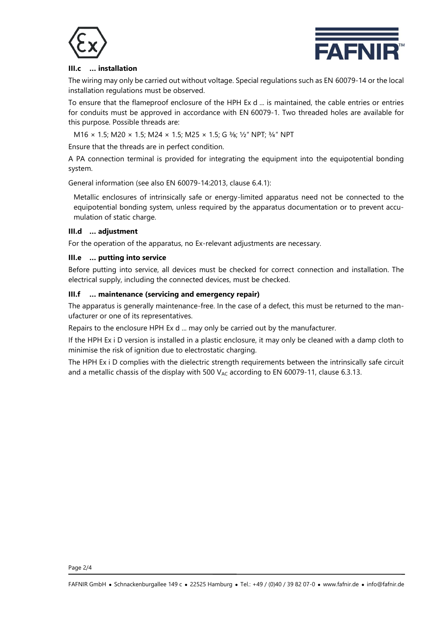



### **III.c … installation**

The wiring may only be carried out without voltage. Special regulations such as EN 60079-14 or the local installation regulations must be observed.

To ensure that the flameproof enclosure of the HPH Ex d ... is maintained, the cable entries or entries for conduits must be approved in accordance with EN 60079-1. Two threaded holes are available for this purpose. Possible threads are:

M16 × 1.5; M20 × 1.5; M24 × 1.5; M25 × 1.5; G 3/8; 1/2" NPT; 3/4" NPT

Ensure that the threads are in perfect condition.

A PA connection terminal is provided for integrating the equipment into the equipotential bonding system.

General information (see also EN 60079-14:2013, clause 6.4.1):

Metallic enclosures of intrinsically safe or energy-limited apparatus need not be connected to the equipotential bonding system, unless required by the apparatus documentation or to prevent accumulation of static charge.

### **III.d … adjustment**

For the operation of the apparatus, no Ex-relevant adjustments are necessary.

### **III.e … putting into service**

Before putting into service, all devices must be checked for correct connection and installation. The electrical supply, including the connected devices, must be checked.

### **III.f … maintenance (servicing and emergency repair)**

The apparatus is generally maintenance-free. In the case of a defect, this must be returned to the manufacturer or one of its representatives.

Repairs to the enclosure HPH Ex d ... may only be carried out by the manufacturer.

If the HPH Ex i D version is installed in a plastic enclosure, it may only be cleaned with a damp cloth to minimise the risk of ignition due to electrostatic charging.

The HPH Ex i D complies with the dielectric strength requirements between the intrinsically safe circuit and a metallic chassis of the display with 500  $V_{AC}$  according to EN 60079-11, clause 6.3.13.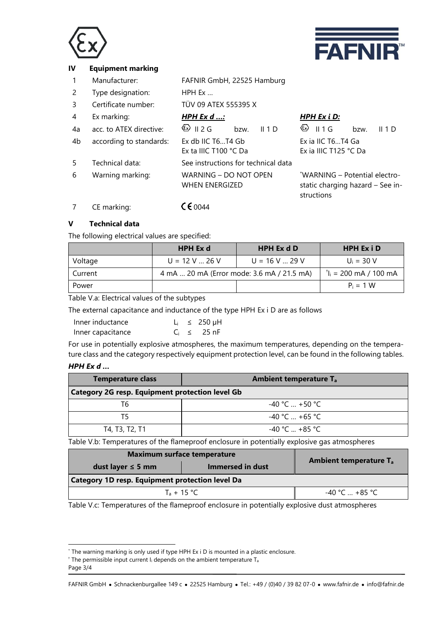



### **IV Equipment marking**

- 1 Manufacturer: FAFNIR GmbH, 22525 Hamburg
- 2 Type designation: HPH Ex …
- 3 Certificate number: TÜV 09 ATEX 555395 X

| $\overline{4}$ | Ex marking:             | <u>HPH Ex d :</u>                              | HPH Ex i D:                                                                     |
|----------------|-------------------------|------------------------------------------------|---------------------------------------------------------------------------------|
| 4a             | acc. to ATEX directive: | $\otimes$ 11 2 G<br>bzw.<br>II 1 D             | $\circ$ II 1 G<br>bzw.<br>II 1 D                                                |
| 4b             | according to standards: | Ex db IIC T6T4 Gb<br>Ex ta IIIC T100 °C Da     | Ex ia IIC T6T4 Ga<br>Ex ia IIIC T125 °C Da                                      |
| .5             | Technical data:         | See instructions for technical data            |                                                                                 |
| 6              | Warning marking:        | WARNING - DO NOT OPEN<br><b>WHEN ENERGIZED</b> | *WARNING - Potential electro-<br>static charging hazard - See in-<br>structions |

7 CE marking:  $\sqrt{60044}$ 

## **V Technical data**

The following electrical values are specified:

|         | <b>HPH Ex d</b>                            | <b>HPH Ex d D</b> | <b>HPH Ex i D</b>                             |
|---------|--------------------------------------------|-------------------|-----------------------------------------------|
| Voltage | $U = 12 V$ 26 V                            | $U = 16 V  29 V$  | $U_i = 30 V$                                  |
| Current | 4 mA  20 mA (Error mode: 3.6 mA / 21.5 mA) |                   | $^{\dagger}$ l <sub>i</sub> = 200 mA / 100 mA |
| Power   |                                            |                   | $P_i = 1 W$                                   |

Table V.a: Electrical values of the subtypes

The external capacitance and inductance of the type HPH Ex i D are as follows

| Inner inductance  |  | $L_i \leq 250 \mu H$ |
|-------------------|--|----------------------|
| Inner capacitance |  | $C_i \leq 25$ nF     |

For use in potentially explosive atmospheres, the maximum temperatures, depending on the temperature class and the category respectively equipment protection level, can be found in the following tables.

## *HPH Ex d …*

| <b>Temperature class</b>                               | <b>Ambient temperature Tal</b> |  |
|--------------------------------------------------------|--------------------------------|--|
| <b>Category 2G resp. Equipment protection level Gb</b> |                                |  |
| Т6                                                     | $-40 °C  +50 °C$               |  |
| T5                                                     | $-40$ °C $+65$ °C              |  |
| T4, T3, T2, T1                                         | $-40 °C + 85 °C$               |  |

Table V.b: Temperatures of the flameproof enclosure in potentially explosive gas atmospheres

| <b>Maximum surface temperature</b>                     |                  |                                          |  |
|--------------------------------------------------------|------------------|------------------------------------------|--|
| dust layer $\leq$ 5 mm                                 | Immersed in dust | <b>Ambient temperature T<sub>a</sub></b> |  |
| <b>Category 1D resp. Equipment protection level Da</b> |                  |                                          |  |
| $T_a + 15 \degree C$                                   |                  | -40 °C  +85 °C                           |  |

Table V.c: Temperatures of the flameproof enclosure in potentially explosive dust atmospheres

l

<sup>\*</sup> The warning marking is only used if type HPH Ex i D is mounted in a plastic enclosure.

 $+$  The permissible input current I<sub>i</sub> depends on the ambient temperature T<sub>a</sub>

Page 3/4